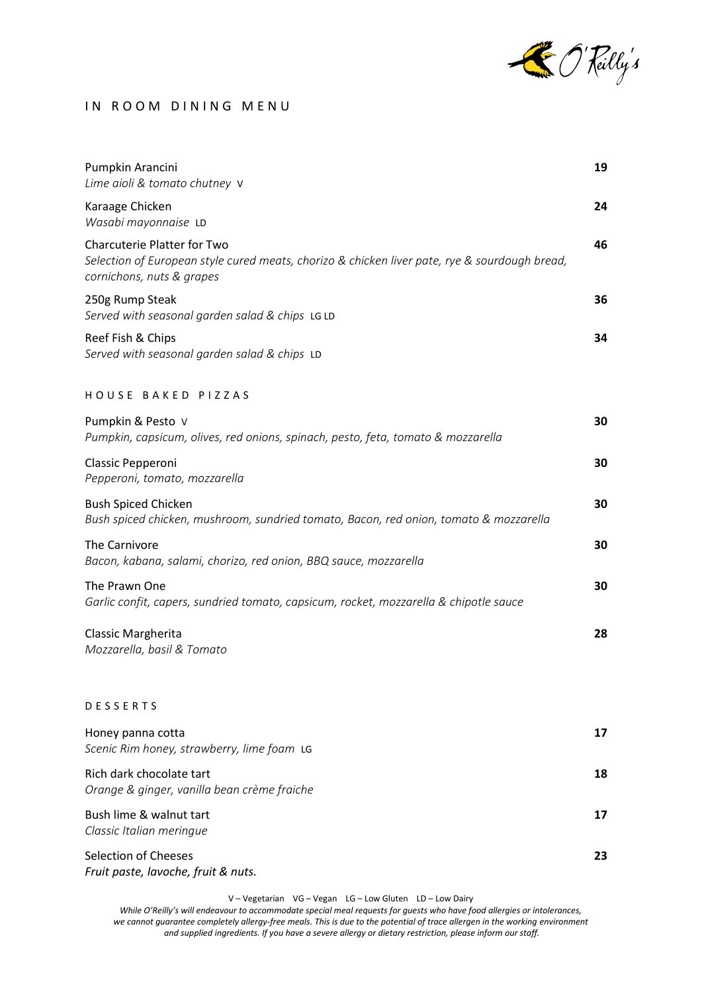

## IN ROOM DINING MENU

| Pumpkin Arancini<br>Lime aioli & tomato chutney V                                                                                                                | 19 |
|------------------------------------------------------------------------------------------------------------------------------------------------------------------|----|
| Karaage Chicken<br>Wasabi mayonnaise LD                                                                                                                          | 24 |
| <b>Charcuterie Platter for Two</b><br>Selection of European style cured meats, chorizo & chicken liver pate, rye & sourdough bread,<br>cornichons, nuts & grapes | 46 |
| 250g Rump Steak<br>Served with seasonal garden salad & chips LG LD                                                                                               | 36 |
| Reef Fish & Chips<br>Served with seasonal garden salad & chips LD                                                                                                | 34 |
| HOUSE BAKED PIZZAS                                                                                                                                               |    |
| Pumpkin & Pesto V<br>Pumpkin, capsicum, olives, red onions, spinach, pesto, feta, tomato & mozzarella                                                            | 30 |
| Classic Pepperoni<br>Pepperoni, tomato, mozzarella                                                                                                               | 30 |
| <b>Bush Spiced Chicken</b><br>Bush spiced chicken, mushroom, sundried tomato, Bacon, red onion, tomato & mozzarella                                              | 30 |
| The Carnivore<br>Bacon, kabana, salami, chorizo, red onion, BBQ sauce, mozzarella                                                                                | 30 |
| The Prawn One<br>Garlic confit, capers, sundried tomato, capsicum, rocket, mozzarella & chipotle sauce                                                           | 30 |
| Classic Margherita<br>Mozzarella, basil & Tomato                                                                                                                 | 28 |
| <b>DESSERTS</b>                                                                                                                                                  |    |
| Honey panna cotta<br>Scenic Rim honey, strawberry, lime foam LG                                                                                                  | 17 |
| Rich dark chocolate tart<br>Orange & ginger, vanilla bean crème fraiche                                                                                          | 18 |
| Bush lime & walnut tart<br>Classic Italian meringue                                                                                                              | 17 |
| <b>Selection of Cheeses</b><br>Fruit paste, lavoche, fruit & nuts.                                                                                               | 23 |

V – Vegetarian VG – Vegan LG – Low Gluten LD – Low Dairy

*While O'Reilly's will endeavour to accommodate special meal requests for guests who have food allergies or intolerances, we cannot guarantee completely allergy-free meals. This is due to the potential of trace allergen in the working environment and supplied ingredients. If you have a severe allergy or dietary restriction, please inform our staff.*